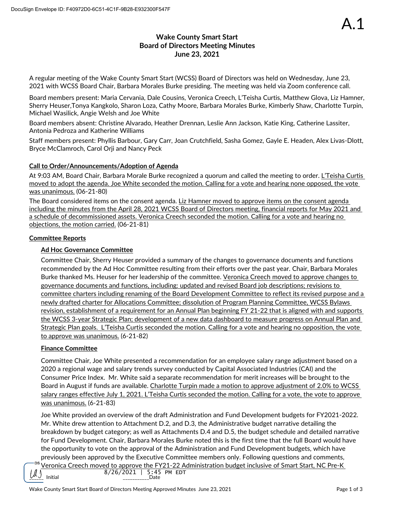# **Wake County Smart Start Board of Directors Meeting Minutes June 23, 2021**

A regular meeting of the Wake County Smart Start (WCSS) Board of Directors was held on Wednesday, June 23, 2021 with WCSS Board Chair, Barbara Morales Burke presiding. The meeting was held via Zoom conference call.

Board members present: Maria Cervania, Dale Cousins, Veronica Creech, L'Teisha Curtis, Matthew Glova, Liz Hamner, Sherry Heuser,Tonya Kangkolo, Sharon Loza, Cathy Moore, Barbara Morales Burke, Kimberly Shaw, Charlotte Turpin, Michael Wasilick, Angie Welsh and Joe White

Board members absent: Christine Alvarado, Heather Drennan, Leslie Ann Jackson, Katie King, Catherine Lassiter, Antonia Pedroza and Katherine Williams

Staff members present: Phyllis Barbour, Gary Carr, Joan Crutchfield, Sasha Gomez, Gayle E. Headen, Alex Livas-Dlott, Bryce McClamroch, Carol Orji and Nancy Peck

## **Call to Order/Announcements/Adoption of Agenda**

At 9:03 AM, Board Chair, Barbara Morale Burke recognized a quorum and called the meeting to order. L'Teisha Curtis moved to adopt the agenda. Joe White seconded the motion. Calling for a vote and hearing none opposed, the vote was unanimous. (06-21-80)

The Board considered items on the consent agenda. Liz Hamner moved to approve items on the consent agenda including the minutes from the April 28, 2021 WCSS Board of Directors meeting, financial reports for May 2021 and a schedule of decommissioned assets. Veronica Creech seconded the motion. Calling for a vote and hearing no objections, the motion carried. (06-21-81)

### **Committee Reports**

## **Ad Hoc Governance Committee**

Committee Chair, Sherry Heuser provided a summary of the changes to governance documents and functions recommended by the Ad Hoc Committee resulting from their efforts over the past year. Chair, Barbara Morales Burke thanked Ms. Heuser for her leadership of the committee. Veronica Creech moved to approve changes to governance documents and functions, including: updated and revised Board job descriptions; revisions to committee charters including renaming of the Board Development Committee to reflect its revised purpose and a newly drafted charter for Allocations Committee; dissolution of Program Planning Committee, WCSS Bylaws revision, establishment of a requirement for an Annual Plan beginning FY 21-22 that is aligned with and supports the WCSS 3-year Strategic Plan; development of a new data dashboard to measure progress on Annual Plan and Strategic Plan goals. L'Teisha Curtis seconded the motion. Calling for a vote and hearing no opposition, the vote to approve was unanimous. (6-21-82)

## **Finance Committee**

Committee Chair, Joe White presented a recommendation for an employee salary range adjustment based on a 2020 a regional wage and salary trends survey conducted by Capital Associated Industries (CAI) and the Consumer Price Index. Mr. White said a separate recommendation for merit increases will be brought to the Board in August if funds are available. Charlotte Turpin made a motion to approve adjustment of 2.0% to WCSS salary ranges effective July 1, 2021. L'Teisha Curtis seconded the motion. Calling for a vote, the vote to approve was unanimous. (6-21-83)

Joe White provided an overview of the draft Administration and Fund Development budgets for FY2021-2022. Mr. White drew attention to Attachment D.2, and D.3, the Administrative budget narrative detailing the breakdown by budget category; as well as Attachments D.4 and D.5, the budget schedule and detailed narrative for Fund Development. Chair, Barbara Morales Burke noted this is the first time that the full Board would have the opportunity to vote on the approval of the Administration and Fund Development budgets, which have previously been approved by the Executive Committee members only. Following questions and comments,

DS Veronica Creech moved to approve the FY21-22 Administration budget inclusive of Smart Start, NC Pre-K  $\underbrace{[}$  Initial  $\underbrace{[}$  10  $\underbrace{[}$  15:45 PM EDT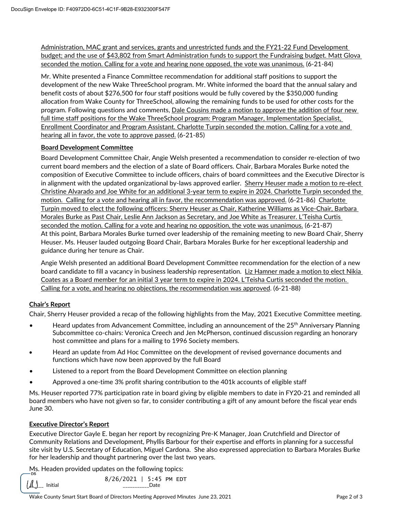Administration, MAC grant and services, grants and unrestricted funds and the FY21-22 Fund Development budget; and the use of \$43,802 from Smart Administration funds to support the Fundraising budget. Matt Glova seconded the motion. Calling for a vote and hearing none opposed, the vote was unanimous. (6-21-84)

Mr. White presented a Finance Committee recommendation for additional staff positions to support the development of the new Wake ThreeSchool program. Mr. White informed the board that the annual salary and benefit costs of about \$276,500 for four staff positions would be fully covered by the \$350,000 funding allocation from Wake County for ThreeSchool, allowing the remaining funds to be used for other costs for the program. Following questions and comments, Dale Cousins made a motion to approve the addition of four new full time staff positions for the Wake ThreeSchool program: Program Manager, Implementation Specialist, Enrollment Coordinator and Program Assistant. Charlotte Turpin seconded the motion. Calling for a vote and hearing all in favor, the vote to approve passed. (6-21-85)

#### **Board Development Committee**

Board Development Committee Chair, Angie Welsh presented a recommendation to consider re-election of two current board members and the election of a slate of Board officers. Chair, Barbara Morales Burke noted the composition of Executive Committee to include officers, chairs of board committees and the Executive Director is in alignment with the updated organizational by-laws approved earlier. Sherry Heuser made a motion to re-elect Christine Alvarado and Joe White for an additional 3-year term to expire in 2024. Charlotte Turpin seconded the motion. Calling for a vote and hearing all in favor, the recommendation was approved. (6-21-86) Charlotte Turpin moved to elect the following officers: Sherry Heuser as Chair, Katherine Williams as Vice-Chair, Barbara Morales Burke as Past Chair, Leslie Ann Jackson as Secretary, and Joe White as Treasurer. L'Teisha Curtis seconded the motion. Calling for a vote and hearing no opposition, the vote was unanimous. (6-21-87) At this point, Barbara Morales Burke turned over leadership of the remaining meeting to new Board Chair, Sherry Heuser. Ms. Heuser lauded outgoing Board Chair, Barbara Morales Burke for her exceptional leadership and guidance during her tenure as Chair.

Angie Welsh presented an additional Board Development Committee recommendation for the election of a new board candidate to fill a vacancy in business leadership representation. Liz Hamner made a motion to elect Nikia Coates as a Board member for an initial 3 year term to expire in 2024. L'Teisha Curtis seconded the motion. Calling for a vote, and hearing no objections, the recommendation was approved. (6-21-88)

#### **Chair's Report**

Chair, Sherry Heuser provided a recap of the following highlights from the May, 2021 Executive Committee meeting.

- Heard updates from Advancement Committee, including an announcement of the 25<sup>th</sup> Anniversary Planning Subcommittee co-chairs: Veronica Creech and Jen McPherson, continued discussion regarding an honorary host committee and plans for a mailing to 1996 Society members.
- Heard an update from Ad Hoc Committee on the development of revised governance documents and functions which have now been approved by the full Board
- Listened to a report from the Board Development Committee on election planning
- Approved a one-time 3% profit sharing contribution to the 401k accounts of eligible staff

Ms. Heuser reported 77% participation rate in board giving by eligible members to date in FY20-21 and reminded all board members who have not given so far, to consider contributing a gift of any amount before the fiscal year ends June 30.

#### **Executive Director's Report**

Executive Director Gayle E. began her report by recognizing Pre-K Manager, Joan Crutchfield and Director of Community Relations and Development, Phyllis Barbour for their expertise and efforts in planning for a successful site visit by U.S. Secretary of Education, Miguel Cardona. She also expressed appreciation to Barbara Morales Burke for her leadership and thought partnering over the last two years.

Ms. Headen provided updates on the following topics:

 $\mu$ ) Initial  $\mu$  initial  $\mu$ 8/26/2021 | 5:45 PM EDT

Wake County Smart Start Board of Directors Meeting Approved Minutes June 23, 2021 **Page 2 of 3** Page 2 of 3